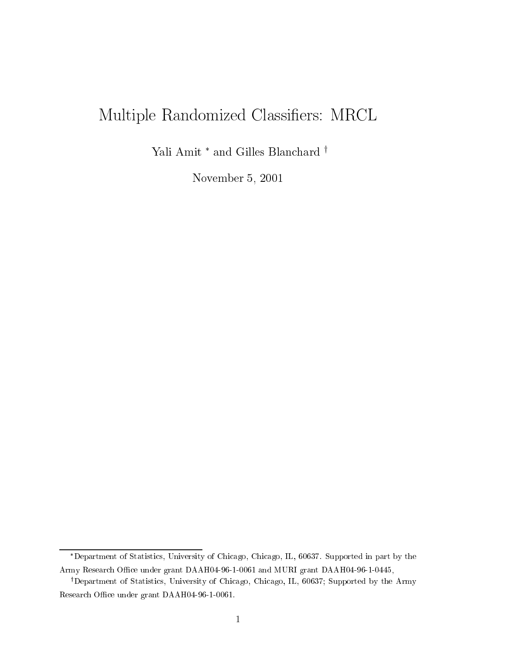# Multiple Randomized Classiers: MRCL

Yali Amit \* and Gilles Blanchard †

November 5, 2001

Department of Statisti
s, University of Chi
ago, Chi
ago, IL, 60637. Supported in part by the Army Resear
h OÆ
e under grant DAAH04-96-1-0061 and MURI grant DAAH04-96-1-0445,

<sup>&</sup>lt;sup>†</sup>Department of Statistics, University of Chicago, Chicago, IL, 60637; Supported by the Army Research Office under grant DAAH04-96-1-0061.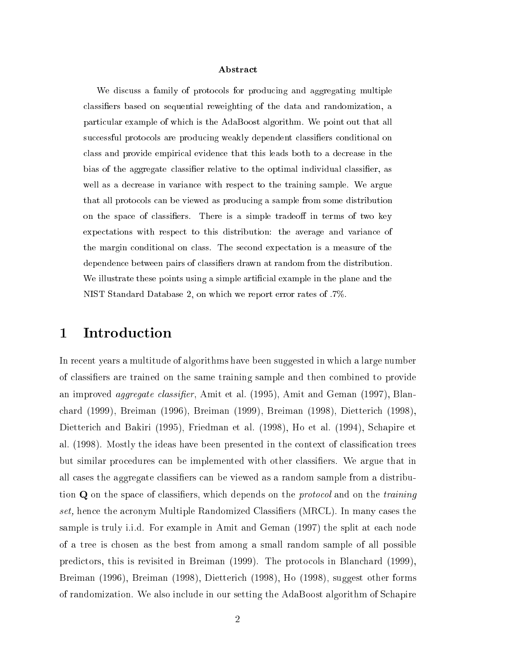#### ${\bf Abstract}$

We discuss a family of protocols for producing and aggregating multiple lassiers based on sequential reweighting of the data and randomization, a particular example of which is the AdaBoost algorithm. We point out that all successful protocols are producing weakly dependent classifiers conditional on class and provide empirical evidence that this leads both to a decrease in the bias of the aggregate classifier relative to the optimal individual classifier, as well as a decrease in variance with respect to the training sample. We argue that all proto
ols an be viewed as produ
ing a sample from some distribution on the space of classifiers. There is a simple tradeoff in terms of two key expectations with respect to this distribution: the average and variance of the margin onditional on lass. The se
ond expe
tation is a measure of the dependen
e between pairs of lassiers drawn at random from the distribution. We illustrate these points using a simple artificial example in the plane and the NIST Standard Database 2, on whi
h we report error rates of .7%.

## 1 Introduction

In re
ent years a multitude of algorithms have been suggested in whi
h a large number of lassiers are trained on the same training sample and then ombined to provide an improved *aggregate classifier*, Amit et al. (1995), Amit and Geman (1997), Blanhard (1999), Breiman (1996), Breiman (1999), Breiman (1998), Dietteri
h (1998), Dietteri
h and Bakiri (1995), Friedman et al. (1998), Ho et al. (1994), S
hapire et al. (1998). Mostly the ideas have been presented in the context of classification trees but similar pro
edures an be implemented with other lassiers. We argue that in all ases the aggregate lassiers an be viewed as a random sample from a distribution Q on the space of classifiers, which depends on the *protocol* and on the *training* set, hence the acronym Multiple Randomized Classifiers (MRCL). In many cases the sample is truly i.i.d. For example in Amit and Geman (1997) the split at each node of a tree is hosen as the best from among a small random sample of all possible predictors, this is revisited in Breiman (1999). The protocols in Blanchard (1999), Breiman (1996), Breiman (1998), Dietteri
h (1998), Ho (1998), suggest other forms of randomization. We also in
lude in our setting the AdaBoost algorithm of S
hapire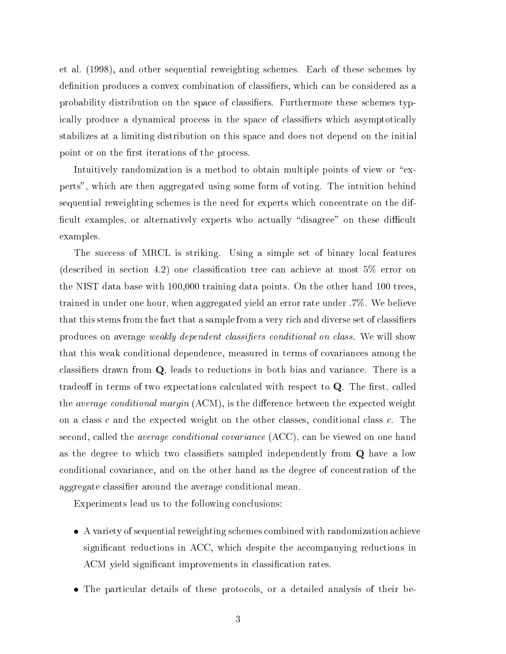et al. (1998), and other sequential reweighting s
hemes. Ea
h of these s
hemes by definition produces a convex combination of classifiers, which can be considered as a probability distribution on the spa
e of lassiers. Furthermore these s
hemes typically produce a dynamical process in the space of classifiers which asymptotically stabilizes at a limiting distribution on this spa
e and does not depend on the initial point or on the first iterations of the process.

Intuitively randomization is a method to obtain multiple points of view or "experts", whi
h are then aggregated using some form of voting. The intuition behind sequential reweighting schemes is the need for experts which concentrate on the difficult examples, or alternatively experts who actually "disagree" on these difficult examples.

The success of MRCL is striking. Using a simple set of binary local features (described in section 4.2) one classification tree can achieve at most 5\% error on the NIST data base with 100,000 training data points. On the other hand 100 trees, trained in under one hour, when aggregated yield an error rate under .7%. We believe that this stems from the fact that a sample from a very rich and diverse set of classifiers produces on average *weakly dependent classifiers conditional on class*. We will show that this weak onditional dependen
e, measured in terms of ovarian
es among the classifiers drawn from  $Q$ , leads to reductions in both bias and variance. There is a tradeoff in terms of two expectations calculated with respect to  $Q$ . The first, called the average conditional margin (ACM), is the difference between the expected weight on a class c and the expected weight on the other classes, conditional class c. The second, called the *average conditional covariance* (ACC), can be viewed on one hand as the degree to which two classifiers sampled independently from **Q** have a low onditional ovarian
e, and on the other hand as the degree of on
entration of the aggregate classifier around the average conditional mean.

Experiments lead us to the following conclusions:

- A variety of sequential reweighting s
hemes ombined with randomization a
hieve significant reductions in ACC, which despite the accompanying reductions in ACM vield significant improvements in classification rates.
- The parti
ular details of these proto
ols, or a detailed analysis of their be-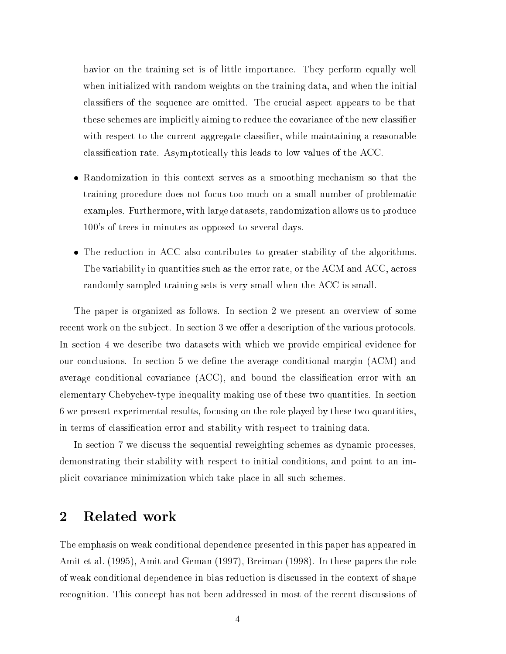havior on the training set is of little importance. They perform equally well when initialized with random weights on the training data, and when the initial classifiers of the sequence are omitted. The crucial aspect appears to be that these schemes are implicitly aiming to reduce the covariance of the new classifier with respect to the current aggregate classifier, while maintaining a reasonable classification rate. Asymptotically this leads to low values of the ACC.

- Randomization in this ontext serves as a smoothing me
hanism so that the training procedure does not focus too much on a small number of problematic examples. Furthermore, with large datasets, randomization allows us to produ
e 100's of trees in minutes as opposed to several days.
- The redu
tion in ACC also ontributes to greater stability of the algorithms. The variability in quantities such as the error rate, or the ACM and ACC, across randomly sampled training sets is very small when the ACC is small.

The paper is organized as follows. In se
tion 2 we present an overview of some recent work on the subject. In section 3 we offer a description of the various protocols. In section 4 we describe two datasets with which we provide empirical evidence for our conclusions. In section 5 we define the average conditional margin (ACM) and average conditional covariance (ACC), and bound the classification error with an elementary Cheby
hev-type inequality making use of these two quantities. In se
tion 6 we present experimental results, fo
using on the role played by these two quantities, in terms of classification error and stability with respect to training data.

In section 7 we discuss the sequential reweighting schemes as dynamic processes, demonstrating their stability with respect to initial conditions, and point to an implicit covariance minimization which take place in all such schemes.

## 2 Related work

The emphasis on weak onditional dependen
e presented in this paper has appeared in Amit et al. (1995), Amit and Geman (1997), Breiman (1998). In these papers the role of weak onditional dependen
e in bias redu
tion is dis
ussed in the ontext of shape recognition. This concept has not been addressed in most of the recent discussions of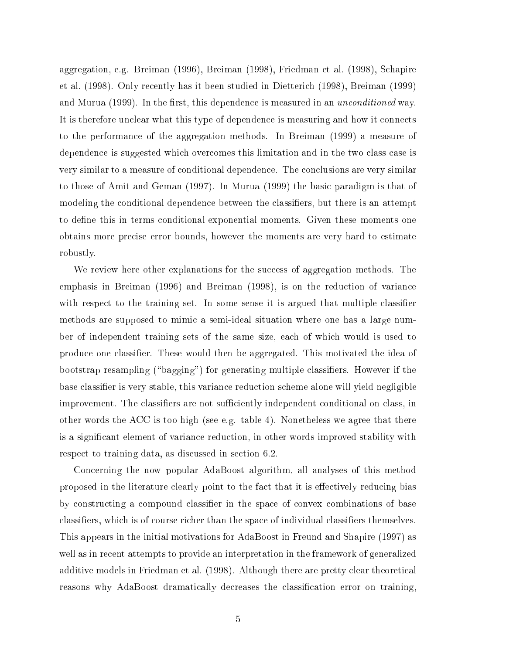aggregation, e.g. Breiman (1996), Breiman (1998), Friedman et al. (1998), S
hapire et al. (1998). Only re
ently has it been studied in Dietteri
h (1998), Breiman (1999) and Murua (1999). In the first, this dependence is measured in an *unconditioned* way. It is therefore unclear what this type of dependence is measuring and how it connects to the performan
e of the aggregation methods. In Breiman (1999) a measure of dependence is suggested which overcomes this limitation and in the two class case is very similar to a measure of conditional dependence. The conclusions are very similar to those of Amit and Geman (1997). In Murua (1999) the basi paradigm is that of modeling the conditional dependence between the classifiers, but there is an attempt to define this in terms conditional exponential moments. Given these moments one obtains more pre
ise error bounds, however the moments are very hard to estimate robustly.

We review here other explanations for the success of aggregation methods. The emphasis in Breiman (1996) and Breiman (1998), is on the reduction of variance with respect to the training set. In some sense it is argued that multiple classifier methods are supposed to mimi a semi-ideal situation where one has a large number of independent training sets of the same size, ea
h of whi
h would is used to produ
e one lassier. These would then be aggregated. This motivated the idea of bootstrap resampling ("bagging") for generating multiple classifiers. However if the base lassier is very stable, this varian
e redu
tion s
heme alone will yield negligible improvement. The classifiers are not sufficiently independent conditional on class, in other words the ACC is too high (see e.g. table 4). Nonetheless we agree that there is a significant element of variance reduction, in other words improved stability with respect to training data, as discussed in section 6.2.

Con
erning the now popular AdaBoost algorithm, all analyses of this method proposed in the literature clearly point to the fact that it is effectively reducing bias by constructing a compound classifier in the space of convex combinations of base classifiers, which is of course richer than the space of individual classifiers themselves. This appears in the initial motivations for AdaBoost in Freund and Shapire (1997) as well as in re
ent attempts to provide an interpretation in the framework of generalized additive models in Friedman et al. (1998). Although there are pretty clear theoretical reasons why AdaBoost dramatically decreases the classification error on training,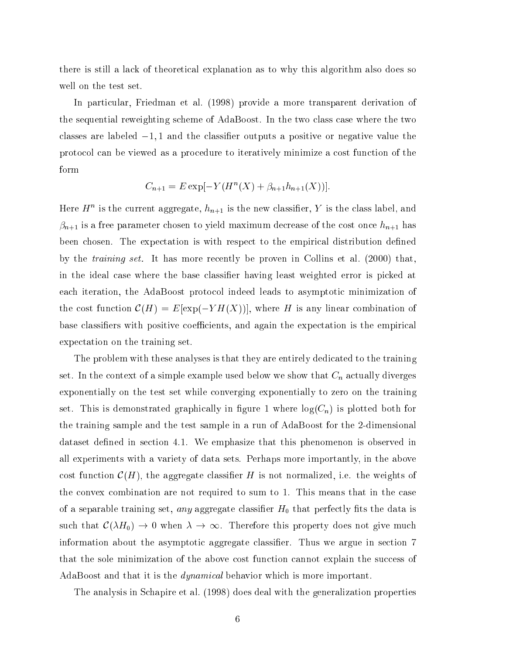there is still a la
k of theoreti
al explanation as to why this algorithm also does so well on the test set.

In parti
ular, Friedman et al. (1998) provide a more transparent derivation of the sequential reweighting s
heme of AdaBoost. In the two lass ase where the two classes are labeled  $-1, 1$  and the classifier outputs a positive or negative value the proto
ol an be viewed as a pro
edure to iteratively minimize a ost fun
tion of the form

$$
C_{n+1} = E \exp[-Y(H^n(X) + \beta_{n+1}h_{n+1}(X))].
$$

Here  $H$  aris the current aggregate,  $n_{n+1}$  is the new classifier,  $T$  is the class label, and  $\beta_{n+1}$  is a free parameter chosen to yield maximum decrease of the cost once  $h_{n+1}$  has been chosen. The expectation is with respect to the empirical distribution defined by the *training set*. It has more recently be proven in Collins et al. (2000) that, in the ideal case where the base classifier having least weighted error is picked at each iteration, the AdaBoost protocol indeed leads to asymptotic minimization of the cost function  $\mathcal{C}(H) = E[\exp(-YH(X))],$  where H is any linear combination of base classifiers with positive coefficients, and again the expectation is the empirical expe
tation on the training set.

The problem with these analyses is that they are entirely dedicated to the training set. In the context of a simple example used below we show that  $C_n$  actually diverges exponentially on the test set while onverging exponentially to zero on the training set. This is demonstrated graphically in figure 1 where  $log(C_n)$  is plotted both for the training sample and the test sample in a run of AdaBoost for the 2-dimensional dataset defined in section 4.1. We emphasize that this phenomenon is observed in all experiments with a variety of data sets. Perhaps more importantly, in the above cost function  $\mathcal{C}(H)$ , the aggregate classifier H is not normalized, i.e. the weights of the onvex ombination are not required to sum to 1. This means that in the ase of a separable training set, any aggregate classifier  $H_0$  that perfectly fits the data is such that  $\mathcal{C}(\lambda H_0) \to 0$  when  $\lambda \to \infty$ . Therefore this property does not give much information about the asymptotic aggregate classifier. Thus we argue in section 7 that the sole minimization of the above cost function cannot explain the success of AdaBoost and that it is the dynami
al behavior whi
h is more important.

The analysis in S
hapire et al. (1998) does deal with the generalization properties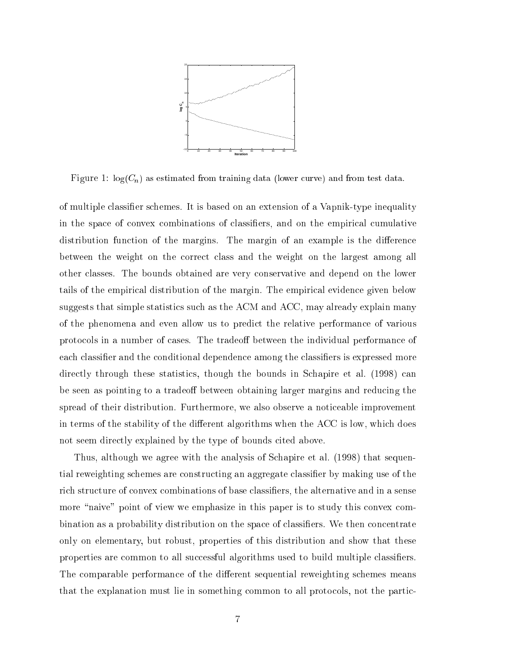

Figure 1:  $log(C_n)$  as estimated from training data (lower curve) and from test data.

of multiple lassier s
hemes. It is based on an extension of a Vapnik-type inequality in the space of convex combinations of classifiers, and on the empirical cumulative distribution function of the margins. The margin of an example is the difference between the weight on the orre
t lass and the weight on the largest among all other lasses. The bounds obtained are very onservative and depend on the lower tails of the empiri
al distribution of the margin. The empiri
al eviden
e given below suggests that simple statistics such as the ACM and ACC, may already explain many of the phenomena and even allow us to predi
t the relative performan
e of various protocols in a number of cases. The tradeoff between the individual performance of ea
h lassier and the onditional dependen
e among the lassiers is expressed more directly through these statistics, though the bounds in Schapire et al. (1998) can be seen as pointing to a tradeoff between obtaining larger margins and reducing the spread of their distribution. Furthermore, we also observe a noti
eable improvement in terms of the stability of the different algorithms when the ACC is low, which does not seem directly explained by the type of bounds cited above.

Thus, although we agree with the analysis of S
hapire et al. (1998) that sequential reweighting s
hemes are onstru
ting an aggregate lassier by making use of the rich structure of convex combinations of base classifiers, the alternative and in a sense more "naive" point of view we emphasize in this paper is to study this convex combination as a probability distribution on the space of classifiers. We then concentrate only on elementary, but robust, properties of this distribution and show that these properties are common to all successful algorithms used to build multiple classifiers. The comparable performance of the different sequential reweighting schemes means that the explanation must lie in something common to all protocols, not the partic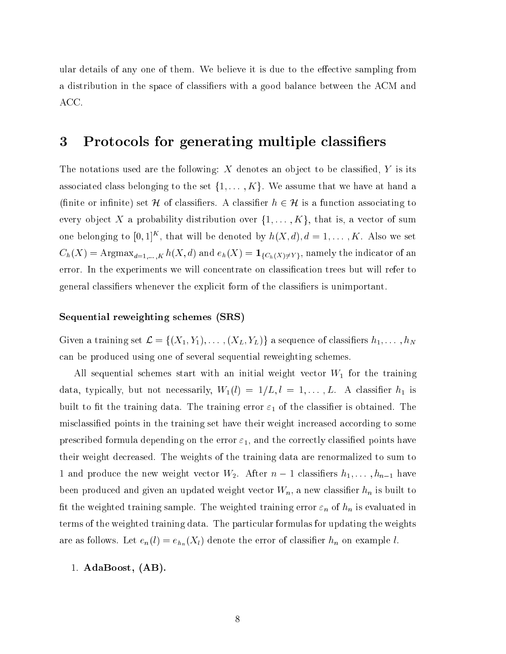ular details of any one of them. We believe it is due to the effective sampling from a distribution in the space of classifiers with a good balance between the ACM and ACC.

#### Protocols for generating multiple classifiers 3

The notations used are the following: X denotes an object to be classified, Y is its associated class belonging to the set  $\{1, \ldots, K\}$ . We assume that we have at hand a (finite or infinite) set H of classifiers. A classifier  $h \in \mathcal{H}$  is a function associating to every object X a probability distribution over  $\{1, \ldots, K\}$ , that is, a vector of sum one belonging to  $[0,1]^{**}$ , that will be denoted by  $h(\Lambda,a), a = 1,\ldots, K$ . Also we set  $C_h(X) = \text{Argmax}_{d=1,\ldots,K} h(X,d)$  and  $e_h(X) = \mathbf{1}_{\{C_h(X)\neq Y\}}$ , namely the indicator of an error. In the experiments we will concentrate on classification trees but will refer to general lassiers whenever the expli
it form of the lassiers is unimportant.

#### Sequential reweighting s
hemes (SRS)

Given a training set  $\mathcal{L} = \{(X_1, Y_1), \dots, (X_L, Y_L)\}\$ a sequence of classifiers  $h_1, \dots, h_N$ an be produ
ed using one of several sequential reweighting s
hemes.

All sequential schemes start with an initial weight vector  $W_1$  for the training data, typically, but not necessarily,  $W_1(l) = 1/L, l = 1, \ldots, L$ . A classifier  $h_1$  is built to fit the training data. The training error  $\varepsilon_1$  of the classifier is obtained. The misclassified points in the training set have their weight increased according to some prescribed formula depending on the error  $\varepsilon_1$ , and the correctly classified points have their weight de
reased. The weights of the training data are renormalized to sum to 1 and produce the new weight vector  $W_2$ . After  $n-1$  classifiers  $h_1, \ldots, h_{n-1}$  have been produced and given an updated weight vector  $W_n$ , a new classifier  $h_n$  is built to fit the weighted training sample. The weighted training error  $\varepsilon_n$  of  $h_n$  is evaluated in terms of the weighted training data. The particular formulas for updating the weights are as follows. Let  $e_n(l) = e_{h_n}(X_l)$  denote the error of classifier  $h_n$  on example l.

#### 1. AdaBoost, (AB).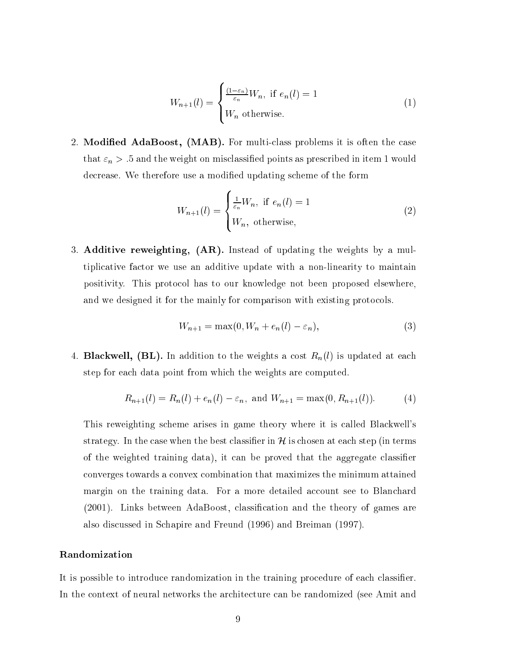$$
W_{n+1}(l) = \begin{cases} \frac{(1-\varepsilon_n)}{\varepsilon_n} W_n, & \text{if } e_n(l) = 1\\ W_n & \text{otherwise.} \end{cases}
$$
 (1)

2. Modified AdaBoost, (MAB). For multi-class problems it is often the case that  $\varepsilon_n >$  .5 and the weight on misclassified points as prescribed in item 1 would decrease. We therefore use a modified updating scheme of the form

<sup>8</sup>

$$
W_{n+1}(l) = \begin{cases} \frac{1}{\varepsilon_n} W_n, & \text{if } e_n(l) = 1\\ W_n, & \text{otherwise,} \end{cases}
$$
 (2)

3. Additive reweighting,  $(AR)$ . Instead of updating the weights by a multipli
ative fa
tor we use an additive update with a non-linearity to maintain positivity. This proto
ol has to our knowledge not been proposed elsewhere, and we designed it for the mainly for comparison with existing protocols.

$$
W_{n+1} = \max(0, W_n + e_n(l) - \varepsilon_n), \tag{3}
$$

4. **Blackwell, (BL).** In addition to the weights a cost  $R_n(l)$  is updated at each step for ea
h data point from whi
h the weights are omputed.

$$
R_{n+1}(l) = R_n(l) + e_n(l) - \varepsilon_n, \text{ and } W_{n+1} = \max(0, R_{n+1}(l)). \tag{4}
$$

This reweighting s
heme arises in game theory where it is alled Bla
kwell's strategy. In the case when the best classifier in  $\mathcal H$  is chosen at each step (in terms of the weighted training data), it an be proved that the aggregate lassier onverges towards a onvex ombination that maximizes the minimum attained margin on the training data. For a more detailed account see to Blanchard (2001). Links between AdaBoost, classification and the theory of games are also dis
ussed in S
hapire and Freund (1996) and Breiman (1997).

#### Randomization

It is possible to introduce randomization in the training procedure of each classifier. In the context of neural networks the architecture can be randomized (see Amit and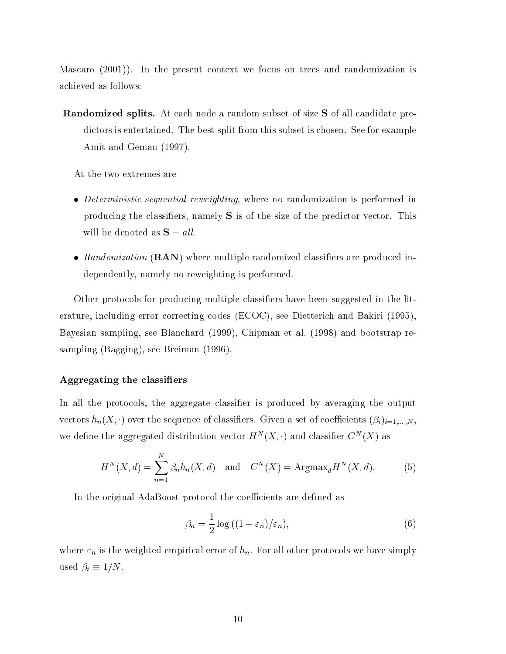Mascaro (2001). In the present context we focus on trees and randomization is a
hieved as follows:

Randomized splits. At each node a random subset of size S of all candidate predictors is entertained. The best split from this subset is chosen. See for example Amit and Geman (1997).

At the two extremes are

- Deterministi sequential reweighting, where no randomization is performed in producing the classifiers, namely **S** is of the size of the predictor vector. This will be denoted as  $S = all$ .
- randomization where  $\mathbf{r} = \mathbf{r} \mathbf{r}$  , where  $\mathbf{r} = \mathbf{r} \mathbf{r}$  are produced in an are produced in  $\mathbf{r} = \mathbf{r} \mathbf{r}$ dependently, namely no reweighting is performed.

Other protocols for producing multiple classifiers have been suggested in the literature, in
luding error orre
ting odes (ECOC), see Dietteri
h and Bakiri (1995), Bayesian sampling, see Blan
hard (1999), Chipman et al. (1998) and bootstrap resampling (Bagging), see Breiman (1996).

#### Aggregating the classifiers

In all the protocols, the aggregate classifier is produced by averaging the output vectors  $h_n(X, \cdot)$  over the sequence of classifiers. Given a set of coefficients  $(\beta_i)_{i=1,...,N}$ , we define the aggregated distribution vector  $H^-(A, \cdot)$  and classifier  $C^-(A)$  as

$$
H^N(X,d) = \sum_{n=1}^N \beta_n h_n(X,d) \quad \text{and} \quad C^N(X) = \text{Argmax}_d H^N(X,d). \tag{5}
$$

In the original AdaBoost protocol the coefficients are defined as

$$
\beta_n = \frac{1}{2} \log \left( (1 - \varepsilon_n) / \varepsilon_n \right),\tag{6}
$$

where  $\varepsilon_n$  is the weighted empirical error of  $h_n$ . For all other protocols we have simply used  $\beta_i \equiv 1/N$ .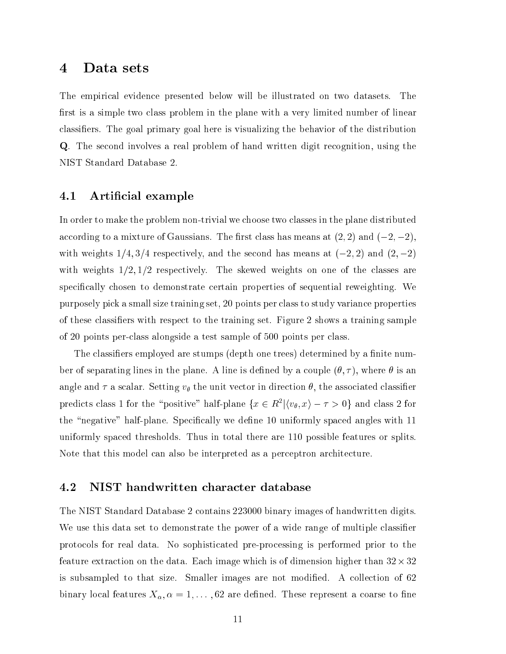### 4 Data sets

The empiri
al eviden
e presented below will be illustrated on two datasets. The first is a simple two class problem in the plane with a very limited number of linear lassiers. The goal primary goal here is visualizing the behavior of the distribution Q. The se
ond involves a real problem of hand written digit re
ognition, using the NIST Standard Database 2.

### 4.1 Artificial example

In order to make the problem non-trivial we choose two classes in the plane distributed according to a mixture of Gaussians. The first class has means at  $(2, 2)$  and  $(-2, -2)$ , with weights  $1/4$ ,  $3/4$  respectively, and the second has means at  $(-2, 2)$  and  $(2, -2)$ with weights  $1/2$ ,  $1/2$  respectively. The skewed weights on one of the classes are specifically chosen to demonstrate certain properties of sequential reweighting. We purposely pi
k a small size training set, 20 points per lass to study varian
e properties of these lassiers with respe
t to the training set. Figure 2 shows a training sample of 20 points perlass alongside a test sample of 500 points per lass.

The classifiers employed are stumps (depth one trees) determined by a finite number of separating lines in the plane. A line is defined by a couple  $(\theta, \tau)$ , where  $\theta$  is an angle and  $\tau$  a scalar. Setting  $v_{\theta}$  the unit vector in direction  $\theta$ , the associated classifier predicts class 1 for the  $\chi$  positive "half-plane  $\{x \in R^+ | \langle v_\theta, x \rangle = \tau > 0\}$ "and class 2 for the "negative" half-plane. Specifically we define 10 uniformly spaced angles with 11 uniformly spa
ed thresholds. Thus in total there are 110 possible features or splits. Note that this model an also be interpreted as a per
eptron ar
hite
ture.

### 4.2 NIST handwritten hara
ter database

The NIST Standard Database 2 ontains 223000 binary images of handwritten digits. We use this data set to demonstrate the power of a wide range of multiple classifier proto
ols for real data. No sophisti
ated pre-pro
essing is performed prior to the  $\mathbf{h}$  is of dimension higher than  $\mathbf{h}$ is subsampled to that size. Smaller images are not modified. A collection of 62 binary local features  $X_{\alpha}$ ,  $\alpha = 1, \ldots, 62$  are defined. These represent a coarse to fine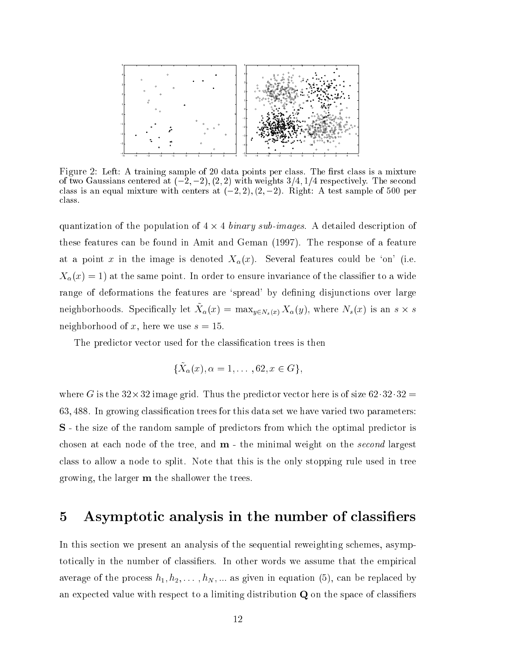

Figure 2: Left: A training sample of 20 data points per class. The first class is a mixture of two Gaussians centered at  $(-2, -2)$ ,  $(2, 2)$  with weights  $3/4$ ,  $1/4$  respectively. The second class is an equal mixture with centers at  $(-2, 2), (2, -2)$ . Right: A test sample of 500 per lass.

quantization of the population of 4 - 4 binary sub-images. A detailed des
ription of these features an be found in Amit and Geman (1997). The response of a feature at a point x in the image is denoted  $X_{\alpha}(x)$ . Several features could be 'on' (i.e.  $X_{\alpha}(x) = 1$ ) at the same point. In order to ensure invariance of the classifier to a wide range of deformations the features are 'spread' by defining disjunctions over large neighborhoods. Specifically let  $A_{\alpha}(x) = \max_{y \in N_s(x)} A_{\alpha}(y)$ , where  $N_s(x)$  is an  $s \wedge s$ neighborhood of x, here we use  $s = 15$ .

The predictor vector used for the classification trees is then

$$
\{\tilde{X}_{\alpha}(x), \alpha = 1, \ldots, 62, x \in G\},\
$$

where G is the 32-top theory. The size for prediction the prediction of size 6232323232 63, 488. In growing classification trees for this data set we have varied two parameters: S - the size of the random sample of predictors from which the optimal predictor is chosen at each node of the tree, and  $\mathbf{m}$  - the minimal weight on the second largest class to allow a node to split. Note that this is the only stopping rule used in tree growing, the larger m the shallower the trees.

## 5 Asymptotic analysis in the number of classifiers

In this section we present an analysis of the sequential reweighting schemes, asymptotically in the number of classifiers. In other words we assume that the empirical average of the process  $h_1, h_2, \ldots, h_N, \ldots$  as given in equation (5), can be replaced by an expected value with respect to a limiting distribution  $Q$  on the space of classifiers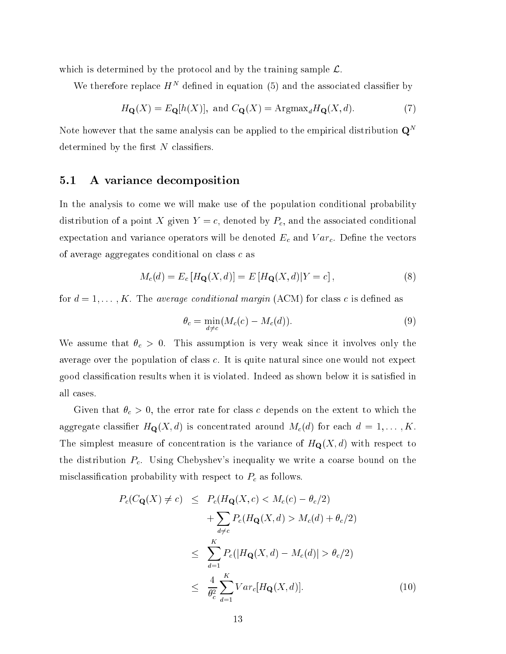which is determined by the protocol and by the training sample  $\mathcal{L}$ .

We therefore replace  $\pi^+$  defined in equation (5) and the associated classifier by

$$
H_{\mathbf{Q}}(X) = E_{\mathbf{Q}}[h(X)], \text{ and } C_{\mathbf{Q}}(X) = \text{Argmax}_{d} H_{\mathbf{Q}}(X, d). \tag{7}
$$

Note however that the same analysis can be applied to the empirical distribution  $\mathbf{Q}^N$ determined by the first  $N$  classifiers.

#### 5.1 A varian
e de
omposition

In the analysis to come we will make use of the population conditional probability distribution of a point X given  $Y = c$ , denoted by  $P_c$ , and the associated conditional expectation and variance operators will be denoted  $E_c$  and  $Var_c$ . Define the vectors of average aggregates onditional on lass as

$$
M_c(d) = E_c[H_{\mathbf{Q}}(X, d)] = E[H_{\mathbf{Q}}(X, d)|Y = c],
$$
\n(8)

for  $d = 1, \ldots, K$ . The *average conditional margin* (ACM) for class c is defined as

$$
\theta_c = \min_{d \neq c} (M_c(c) - M_c(d)). \tag{9}
$$

We assume that  $\theta_c > 0$ . This assumption is very weak since it involves only the average over the population of class  $c$ . It is quite natural since one would not expect good classification results when it is violated. Indeed as shown below it is satisfied in all ases.

Given that  $\theta_c > 0$ , the error rate for class c depends on the extent to which the aggregate classifier  $H_{\mathbf{Q}}(X, d)$  is concentrated around  $M_c(d)$  for each  $d = 1, \ldots, K$ . The simplest measure of concentration is the variance of  $H_{\mathbf{Q}}(X, d)$  with respect to the distribution  $P_c$ . Using Chebyshev's inequality we write a coarse bound on the misclassification probability with respect to  $P_c$  as follows.

$$
P_c(C_{\mathbf{Q}}(X) \neq c) \leq P_c(H_{\mathbf{Q}}(X, c) < M_c(c) - \theta_c/2) \\
+ \sum_{d \neq c} P_c(H_{\mathbf{Q}}(X, d) > M_c(d) + \theta_c/2) \\
\leq \sum_{d=1}^K P_c(|H_{\mathbf{Q}}(X, d) - M_c(d)| > \theta_c/2) \\
\leq \frac{4}{\theta_c^2} \sum_{d=1}^K Var_c[H_{\mathbf{Q}}(X, d)].\n\tag{10}
$$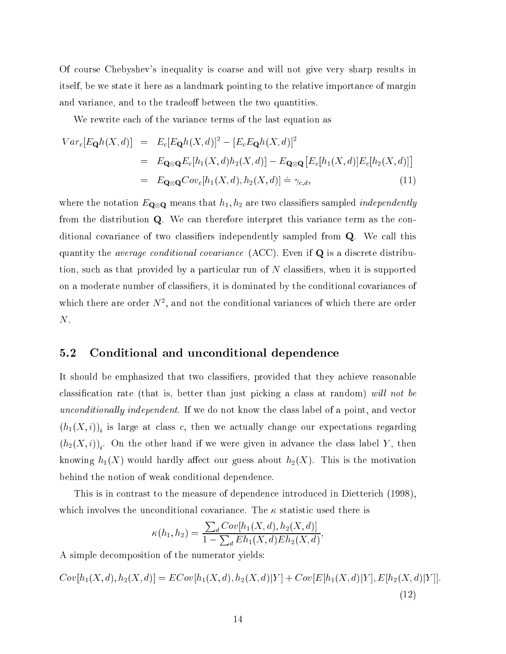Of ourse Chebyshev's inequality is oarse and will not give very sharp results in itself, be we state it here as a landmark pointing to the relative importan
e of margin and variance, and to the tradeoff between the two quantities.

We rewrite each of the variance terms of the last equation as

$$
Var_c[E_{\mathbf{Q}}h(X,d)] = E_c[E_{\mathbf{Q}}h(X,d)]^2 - [E_cE_{\mathbf{Q}}h(X,d)]^2
$$
  
\n
$$
= E_{\mathbf{Q}\otimes\mathbf{Q}}E_c[h_1(X,d)h_2(X,d)] - E_{\mathbf{Q}\otimes\mathbf{Q}}[E_c[h_1(X,d)]E_c[h_2(X,d)]]
$$
  
\n
$$
= E_{\mathbf{Q}\otimes\mathbf{Q}}Cov_c[h_1(X,d),h_2(X,d)] = \gamma_{c,d},
$$
\n(11)

where the notation  $\blacksquare$  with the notation is independent in the sampled independent independent  $g$ from the distribution Q. We can therefore interpret this variance term as the conditional covariance of two classifiers independently sampled from **Q**. We call this quantity the *average conditional covariance* (ACC). Even if  $Q$  is a discrete distribution, such as that provided by a particular run of  $N$  classifiers, when it is supported on a moderate number of lassiers, it is dominated by the onditional ovarian
es of which there are order *iv*, and not the conditional variances of which there are order  $N$  .

### 5.2 Conditional and unconditional dependence

It should be emphasized that two classifiers, provided that they achieve reasonable classification rate (that is, better than just picking a class at random) will not be unconditionally independent. If we do not know the class label of a point, and vector , is large at the second control  $\alpha$  is the second  $\alpha$  is the  $\alpha$  -regarding our expectations  $\alpha$  . The  $\alpha$ (i.e. i.e. i))  $\lambda$  is a complete different in a set of we we we we were completed in a set of  $\lambda$  , then knowing  $h_1(X)$  would hardly affect our guess about  $h_2(X)$ . This is the motivation behind the notion of weak onditional dependen
e.

This is in ontrast to the measure of dependen
e introdu
ed in Dietteri
h (1998), which involves the unconditional covariance. The  $\kappa$  statistic used there is

$$
\kappa(h_1, h_2) = \frac{\sum_d Cov[h_1(X, d), h_2(X, d)]}{1 - \sum_d Eh_1(X, d) Eh_2(X, d)},
$$

A simple de
omposition of the numerator yields:

$$
Cov[h_1(X, d), h_2(X, d)] = ECov[h_1(X, d), h_2(X, d)|Y] + Cov[E[h_1(X, d)|Y], E[h_2(X, d)|Y]].
$$
\n(12)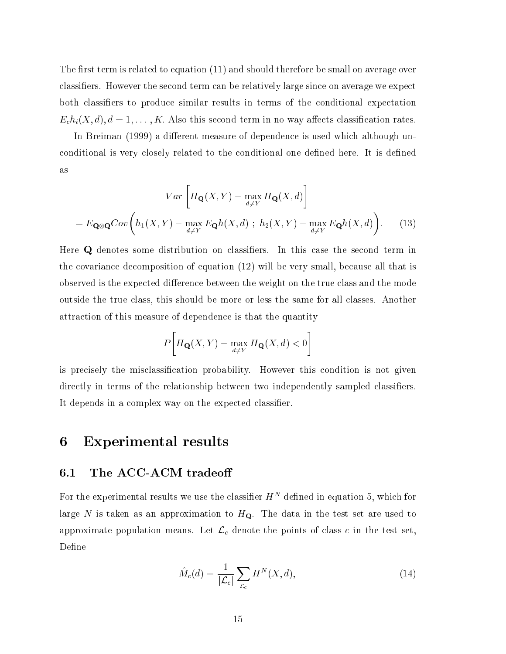The first term is related to equation  $(11)$  and should therefore be small on average over classifiers. However the second term can be relatively large since on average we expect both classifiers to produce similar results in terms of the conditional expectation  $E_c h_i(X, d), d = 1, \ldots, K$ . Also this second term in no way affects classification rates.

In Breiman (1999) a different measure of dependence is used which although unconditional is very closely related to the conditional one defined here. It is defined as

$$
Var\left[H_{\mathbf{Q}}(X,Y) - \max_{d \neq Y} H_{\mathbf{Q}}(X,d)\right]
$$
  
=  $E_{\mathbf{Q} \otimes \mathbf{Q}} Cov\left(h_1(X,Y) - \max_{d \neq Y} E_{\mathbf{Q}}h(X,d) ; h_2(X,Y) - \max_{d \neq Y} E_{\mathbf{Q}}h(X,d)\right)$ . (13)

Here Q denotes some distribution on classifiers. In this case the second term in the ovarian
e de
omposition of equation (12) will be very small, be
ause all that is observed is the expected difference between the weight on the true class and the mode outside the true lass, this should be more or less the same for all lasses. Another attra
tion of this measure of dependen
e is that the quantity

$$
P\bigg[H_{\mathbf{Q}}(X,Y) - \max_{d \neq Y} H_{\mathbf{Q}}(X,d) < 0\bigg]
$$

is precisely the misclassification probability. However this condition is not given directly in terms of the relationship between two independently sampled classifiers. It depends in a complex way on the expected classifier.

### 6 Experimental results

#### $6.1$ The ACC-ACM tradeoff

For the experimental results we use the classifier  $H^+$  defined in equation 5, which for large N is taken as an approximation to  $H<sub>Q</sub>$ . The data in the test set are used to approximate population means. Let  $\mathcal{L}_c$  denote the points of class c in the test set, Define

$$
\hat{M}_c(d) = \frac{1}{|\mathcal{L}_c|} \sum_{\mathcal{L}_c} H^N(X, d),\tag{14}
$$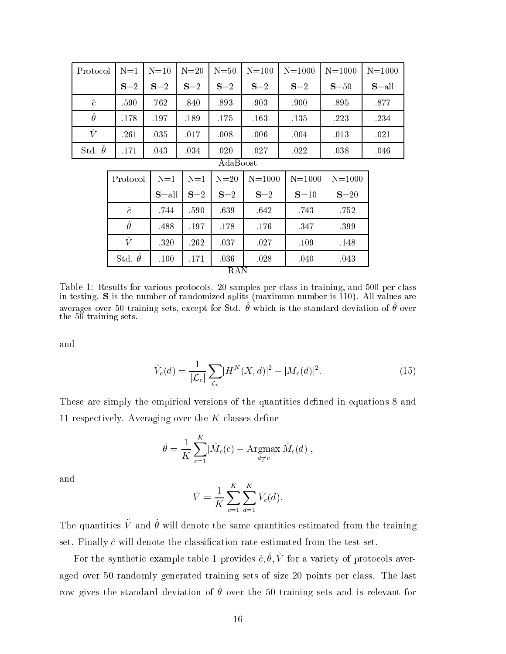| Protocol       | $N=1$          | $N=10$    | $N=20$ | $N = 50$ | $N = 100$  | $N = 1000$ | $N = 1000$ | $N = 1000$ |  |
|----------------|----------------|-----------|--------|----------|------------|------------|------------|------------|--|
|                | $S=2$          | $S=2$     | $S=2$  | $S=2$    | $S=2$      | $S=2$      | $S = 50$   | $S = all$  |  |
| $\hat{c}$      | .590           | .762      | .840   | .893     | .903       | .900       | .895       | .877       |  |
| $\hat{\theta}$ | .178           | .197      | .189   | .175     | .163       | .135       | .223       | .234       |  |
| $\hat{V}$      | .261           | $.035\,$  | .017   | .008     | .006       | .004       | .013       | .021       |  |
| Std. $\theta$  | .171           | .043      | .034   | .020     | .027       | .022       | .038       | .046       |  |
| AdaBoost       |                |           |        |          |            |            |            |            |  |
|                | Protocol       | $N=1$     | $N=1$  | $N=20$   | $N = 1000$ | $N = 1000$ | $N = 1000$ |            |  |
|                |                | $S = all$ | $S=2$  | $S=2$    | $S=2$      | $S=10$     | $S=20$     |            |  |
|                | $\hat{c}$      | .744      | .590   | .639     | .642       | .743       | .752       |            |  |
|                | $\hat{\theta}$ | .488      | .197   | .178     | .176       | .347       | .399       |            |  |
|                | $\hat{V}$      | .320      | .262   | .037     | .027       | .109       | .148       |            |  |
|                | Std. $\theta$  | .100      | .171   | .036     | .028       | .040       | .043       |            |  |
| RAN            |                |           |        |          |            |            |            |            |  |

Table 1: Results for various protocols. 20 samples per class in training, and 500 per class in testing. S is the number of randomized splits (maximum number is  $110$ ). All values are averages over 50 training sets, except for  $\mathfrak{z}_W$  ,  $\mathfrak{v}_W$  which is the standard deviation or  $\mathfrak{v}_W$  over the 50 training sets.

and

$$
\hat{V}_c(d) = \frac{1}{|\mathcal{L}_c|} \sum_{\mathcal{L}_c} [H^N(X, d)]^2 - [M_c(d)]^2.
$$
\n(15)

These are simply the empirical versions of the quantities defined in equations 8 and 11 respectively. Averaging over the  $K$  classes define

$$
\hat{\theta} = \frac{1}{K} \sum_{c=1}^{K} [\hat{M}_c(c) - \operatorname{Argmax}_{d \neq c} \hat{M}_c(d)],
$$

and

$$
\hat{V} = \frac{1}{K} \sum_{c=1}^{K} \sum_{d=1}^{K} \hat{V}_c(d).
$$

The quantities y and v will denote the same quantities estimated from the training set. Finally  $\hat{c}$  will denote the classification rate estimated from the test set.

For the synthetic example table T provides  $\iota, \nu, \nu$  for a variety of protocols averaged over 50 randomly generated training sets of size 20 points per lass. The last row gives the standard deviation or  $\sigma$  over the 50 training sets and is relevant for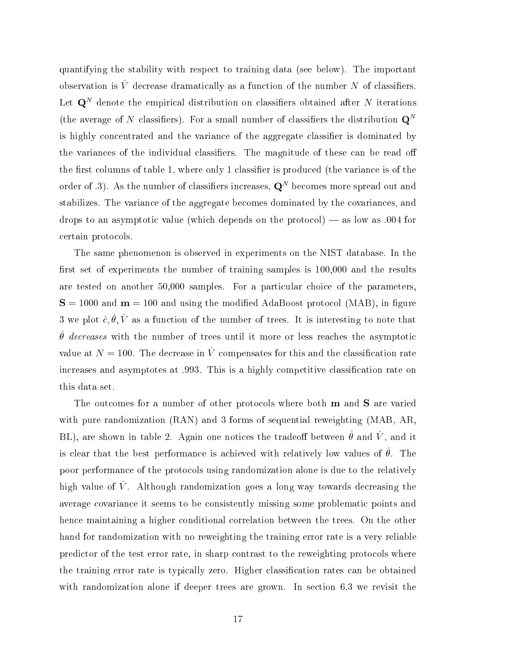quantifying the stability with respe
t to training data (see below). The important observation is  $\hat{V}$  decrease dramatically as a function of the number N of classifiers. Let  $\mathbf{Q}^+$  denote the empirical distribution on classifiers obtained after *I*V flerations (the average of N classifiers). For a small number of classifiers the distribution  $\mathbf{Q}^N$ is highly concentrated and the variance of the aggregate classifier is dominated by the variances of the individual classifiers. The magnitude of these can be read off the first columns of table 1, where only 1 classifier is produced (the variance is of the order of .3). As the number of lassiers in
reases, Q<sup>N</sup> be
omes more spread out and stabilizes. The variance of the aggregate becomes dominated by the covariances, and drops to an asymptotic value (which depends on the protocol) — as low as  $.004$  for ertain proto
ols.

The same phenomenon is observed in experiments on the NIST database. In the first set of experiments the number of training samples is 100,000 and the results are tested on another 50,000 samples. For a particular choice of the parameters,  $S = 1000$  and  $m = 100$  and using the modified AdaBoost protocol (MAB), in figure  $\sigma$  we prot  $c, v, v$  as a function of the number of trees. It is interesting to note that  $\sigma$  decreases with the number or trees until it more or less reaches the asymptotic value at  $N = 100$ . The decrease in  $V$  compensates for this and the classification rate increases and asymptotes at .993. This is a highly competitive classification rate on this data set.

The outcomes for a number of other protocols where both **m** and **S** are varied with pure randomization (RAN) and 3 forms of sequential reweighting (MAB, AR,  $D\bar{D}$ ), are shown in table 2. Again one notices the tradeon between  $\bar{V}$  and  $\bar{V}$ , and it is lear that the best performan
e is a
hieved with relatively low values of ^ . The poor performan
e of the proto
ols using randomization alone is due to the relatively  $\max$  value of  $V$ . Although randomization goes a long way towards decreasing the average covariance it seems to be consistently missing some problematic points and hence maintaining a higher conditional correlation between the trees. On the other hand for randomization with no reweighting the training error rate is a very reliable predi
tor of the test error rate, in sharp ontrast to the reweighting proto
ols where the training error rate is typically zero. Higher classification rates can be obtained with randomization alone if deeper trees are grown. In section 6.3 we revisit the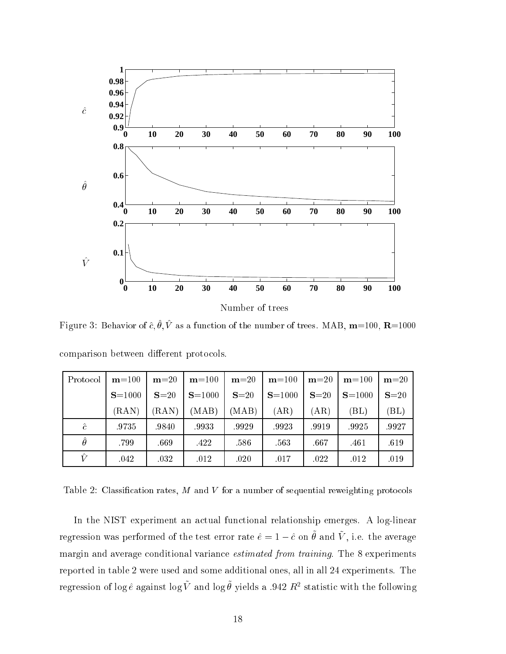

Figure 3: Behavior of  $\hat{c}$ ,  $\theta$ , V as a function of the number of trees. MAB,  $\mathbf{m}$ =100,  $\mathbf{R}$ =1000

| Protocol  | $m = 100$  | $m=20$ | $m = 100$  | $m=20$ | $m = 100$  | $m=20$ | $m = 100$  | $m=20$ |
|-----------|------------|--------|------------|--------|------------|--------|------------|--------|
|           | $S = 1000$ | $S=20$ | $S = 1000$ | $S=20$ | $S = 1000$ | $S=20$ | $S = 1000$ | $S=20$ |
|           | (RAN)      | (RAN)  | (MAB)      | (MAB)  | (AR)       | (AR)   | (BL)       | (BL)   |
| $\hat{c}$ | .9735      | .9840  | .9933      | .9929  | .9923      | .9919  | .9925      | .9927  |
| $\theta$  | .799       | .669   | .422       | .586   | .563       | .667   | .461       | .619   |
| V         | .042       | .032   | .012       | .020   | .017       | .022   | .012       | .019   |

comparison between different protocols.

Table 2: Classification rates,  $M$  and  $V$  for a number of sequential reweighting protocols

In the NIST experiment an actual functional relationship emerges. A log-linear regression was performed of the test error rate  $e = 1 - e$  on  $\sigma$  and  $\gamma$  , i.e. the average margin and average onditional varian
e estimated from training. The 8 experiments reported in table 2 were used and some additional ones, all in all 24 experiments. The regression of log e against log v=and log v=lefts a :942 R -statistic with the following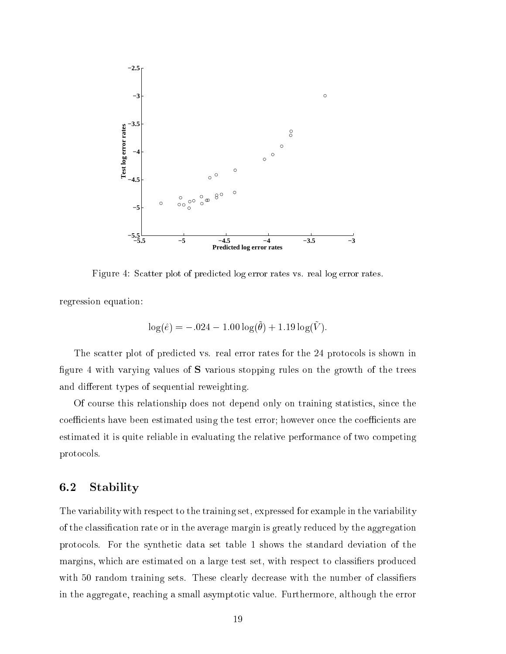

Figure 4: Scatter plot of predicted log error rates vs. real log error rates.

regression equation:

$$
\log(\hat{e}) = -.024 - 1.00 \log(\tilde{\theta}) + 1.19 \log(\tilde{V}).
$$

The scatter plot of predicted vs. real error rates for the 24 protocols is shown in figure 4 with varying values of  $S$  various stopping rules on the growth of the trees and different types of sequential reweighting.

Of course this relationship does not depend only on training statistics, since the coefficients have been estimated using the test error; however once the coefficients are estimated it is quite reliable in evaluating the relative performan
e of two ompeting protocols.

#### 6.2 Stability

The variability with respect to the training set, expressed for example in the variability of the lassi
ation rate or in the average margin is greatly redu
ed by the aggregation proto
ols. For the syntheti data set table 1 shows the standard deviation of the margins, which are estimated on a large test set, with respect to classifiers produced with 50 random training sets. These clearly decrease with the number of classifiers in the aggregate, reaching a small asymptotic value. Furthermore, although the error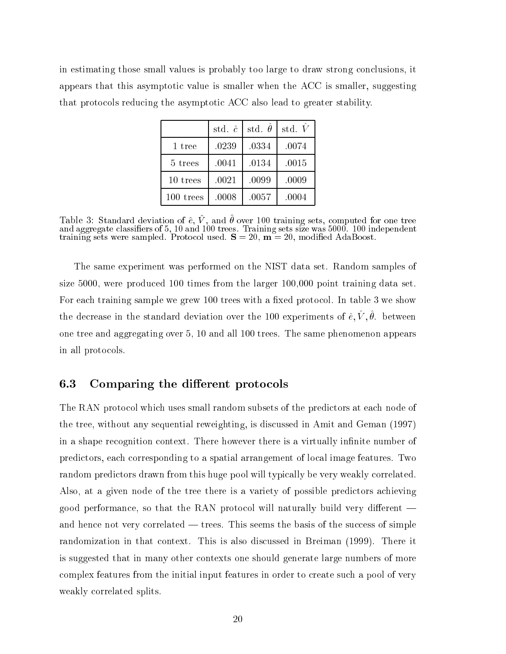in estimating those small values is probably too large to draw strong conclusions, it appears that this asymptotic value is smaller when the ACC is smaller, suggesting that proto
ols redu
ing the asymptoti ACC also lead to greater stability.

|           | std. $\hat{c}$ | std. $\hat{\theta}$ | std. $\hat{V}$ |
|-----------|----------------|---------------------|----------------|
| 1 tree    | .0239          | .0334               | .0074          |
| 5 trees   | .0041          | .0134               | .0015          |
| 10 trees  | .0021          | .0099               | .0009          |
| 100 trees | .0008          | .0057               | .0004          |

 $\Gamma$  radio  $\Gamma$ . Standard deviation of  $\epsilon$ , V, and 0 over 100 training sets, computed for one tree training sets were sampled. Protocol used.  $S = 20$ ,  $m = 20$ , modified AdaBoost.

The same experiment was performed on the NIST data set. Random samples of size 5000, were produ
ed 100 times from the larger 100,000 point training data set. For each training sample we grew 100 trees with a fixed protocol. In table 3 we show the decrease in the standard deviation over the 100 experiments of  $\epsilon, \nu, \sigma$ . between one tree and aggregating over 5, 10 and all 100 trees. The same phenomenon appears in all proto
ols.

#### Comparing the different protocols 6.3

The RAN protocol which uses small random subsets of the predictors at each node of the tree, without any sequential reweighting, is dis
ussed in Amit and Geman (1997) in a shape recognition context. There however there is a virtually infinite number of predi
tors, ea
h orresponding to a spatial arrangement of lo
al image features. Two random predictors drawn from this huge pool will typically be very weakly correlated. Also, at a given node of the tree there is a variety of possible predictors achieving good performance, so that the RAN protocol will naturally build very different and hence not very correlated  $-$  trees. This seems the basis of the success of simple randomization in that ontext. This is also dis
ussed in Breiman (1999). There it is suggested that in many other ontexts one should generate large numbers of more complex features from the initial input features in order to create such a pool of very weakly orrelated splits.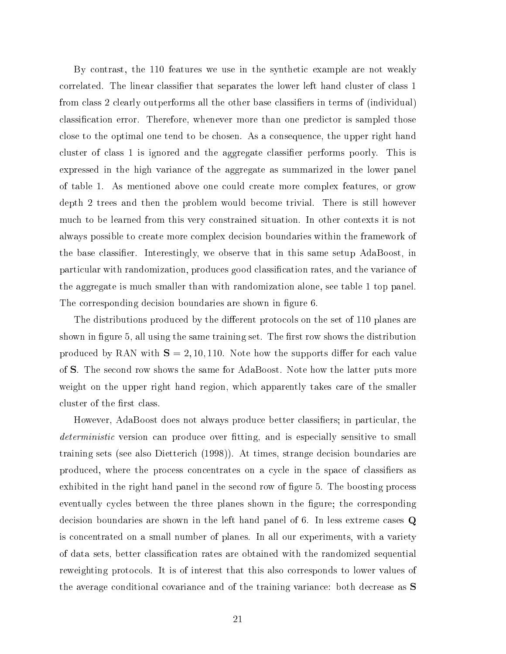By ontrast, the 110 features we use in the syntheti example are not weakly correlated. The linear classifier that separates the lower left hand cluster of class 1 from lass 2 learly outperforms all the other base lassiers in terms of (individual) classification error. Therefore, whenever more than one predictor is sampled those close to the optimal one tend to be chosen. As a consequence, the upper right hand cluster of class 1 is ignored and the aggregate classifier performs poorly. This is expressed in the high varian
e of the aggregate as summarized in the lower panel of table 1. As mentioned above one ould reate more omplex features, or grow depth 2 trees and then the problem would be
ome trivial. There is still however mu
h to be learned from this very onstrained situation. In other ontexts it is not always possible to create more complex decision boundaries within the framework of the base lassier. Interestingly, we observe that in this same setup AdaBoost, in particular with randomization, produces good classification rates, and the variance of the aggregate is mu
h smaller than with randomization alone, see table 1 top panel. The corresponding decision boundaries are shown in figure 6.

The distributions produced by the different protocols on the set of 110 planes are shown in figure 5, all using the same training set. The first row shows the distribution produced by RAN with  $S = 2, 10, 110$ . Note how the supports differ for each value of S. The se
ond row shows the same for AdaBoost. Note how the latter puts more weight on the upper right hand region, whi
h apparently takes are of the smaller cluster of the first class.

However, AdaBoost does not always produce better classifiers; in particular, the deterministic version can produce over fitting, and is especially sensitive to small training sets (see also Dietteri
h (1998)). At times, strange de
ision boundaries are produced, where the process concentrates on a cycle in the space of classifiers as exhibited in the right hand panel in the second row of figure 5. The boosting process eventually cycles between the three planes shown in the figure; the corresponding decision boundaries are shown in the left hand panel of 6. In less extreme cases Q is on
entrated on a small number of planes. In all our experiments, with a variety of data sets, better lassi
ation rates are obtained with the randomized sequential reweighting protocols. It is of interest that this also corresponds to lower values of the average onditional ovarian
e and of the training varian
e: both de
rease as S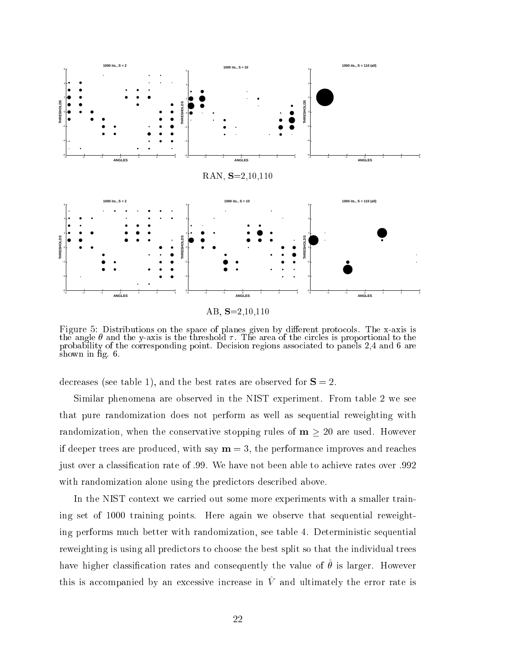

Figure 5: Distributions on the spa
e of planes given by dierent proto
ols. The x-axis is the angle is the threshold is the threshold is the threshold in the area of the area of the the threshold is t probability of the orresponding point. De
ision regions asso
iated to panels 2,4 and 6 are shown in  $\mathring{H}$ g. 6.

decreases (see table 1), and the best rates are observed for  $S = 2$ .

Similar phenomena are observed in the NIST experiment. From table 2 we see that pure randomization does not perform as well as sequential reweighting with randomization, when the conservative stopping rules of  $m \geq 20$  are used. However if deeper trees are produced, with say  $m = 3$ , the performance improves and reaches just over a classification rate of .99. We have not been able to achieve rates over .992 with randomization alone using the predictors described above.

In the NIST ontext we arried out some more experiments with a smaller training set of 1000 training points. Here again we observe that sequential reweighting performs much better with randomization, see table 4. Deterministic sequential reweighting is using all predictors to choose the best split so that the individual trees have higher lassi
ation rates and onsequently the value of ^ is larger. However  $\frac{1}{100}$  is accompanied by an excessive increase in  $\ell$  and ultimately the error rate is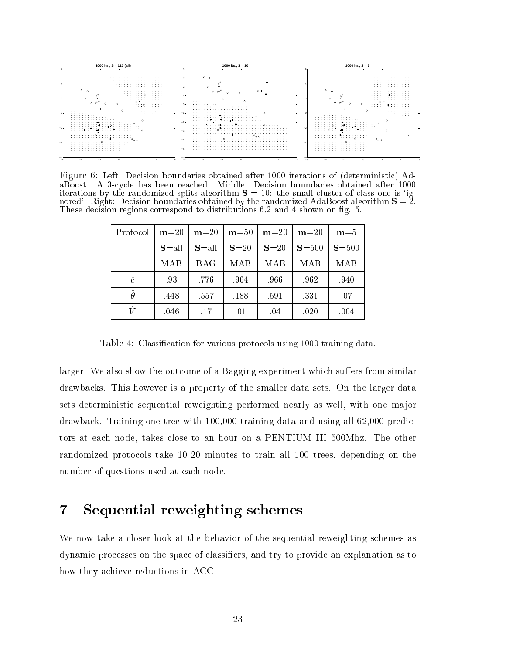

Figure 6: Left: Decision boundaries obtained after 1000 iterations of (deterministic) Aditerations by the randomized splits algorithm  $S = 10$ : the small cluster of class one is 'ignored'. Right: Decision boundaries obtained by the randomized AdaBoost algorithm  $S = 2$ . These de
ision regions orrespond to distributions 6,2 and 4 shown on g. 5.

| Protocol       | $m=20$    | $m=20$    | $m = 50$ | $m=20$ | $m=20$     | $m=5$     |
|----------------|-----------|-----------|----------|--------|------------|-----------|
|                | $S = all$ | $S = all$ | $S=20$   | $S=20$ | $S = 500$  | $S = 500$ |
|                | MAB       | BAG       | MAB      | MAB    | <b>MAB</b> | MAB       |
| $\hat{c}$      | .93       | .776      | .964     | .966   | .962       | .940      |
| $\hat{\theta}$ | .448      | .557      | .188     | .591   | .331       | .07       |
|                | .046      | .17       | .01      | .04    | .020       | .004      |

Table 4: Classification for various protocols using 1000 training data.

larger. We also show the outcome of a Bagging experiment which suffers from similar drawba
ks. This however is a property of the smaller data sets. On the larger data sets deterministic sequential reweighting performed nearly as well, with one major drawback. Training one tree with 100,000 training data and using all 62,000 predictors at ea
h node, takes lose to an hour on a PENTIUM III 500Mhz. The other randomized proto
ols take 10-20 minutes to train all 100 trees, depending on the number of questions used at each node.

#### Sequential reweighting schemes  $\overline{7}$

We now take a closer look at the behavior of the sequential reweighting schemes as dynamic processes on the space of classifiers, and try to provide an explanation as to how they achieve reductions in ACC.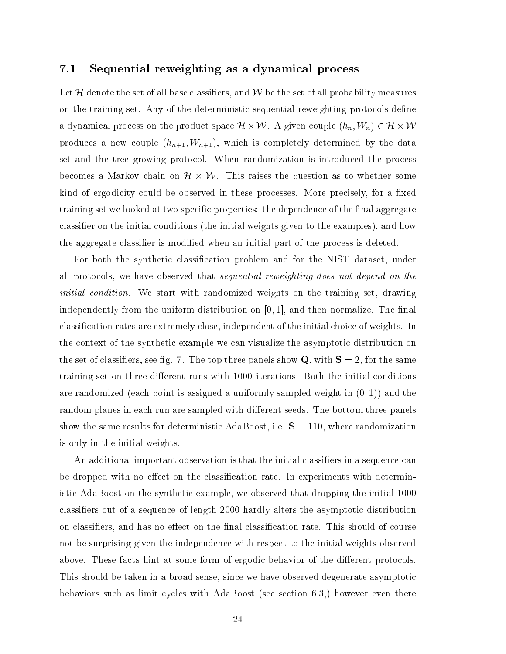### 7.1 Sequential reweighting as a dynami
al pro
ess

Let H denote the set of all base classifiers, and W be the set of all probability measures on the training set. Any of the deterministic sequential reweighting protocols define a dynamic product to the product of the product the product to the product of the product that the product to produces a new couple  $(h_{n+1}, W_{n+1})$ , which is completely determined by the data set and the tree growing protocol. When randomization is introduced the process because a markov is raises the  $\mu$  . This matrix raises the some as to whether some some kind of ergodicity could be observed in these processes. More precisely, for a fixed training set we looked at two specific properties: the dependence of the final aggregate classifier on the initial conditions (the initial weights given to the examples), and how the aggregate classifier is modified when an initial part of the process is deleted.

For both the synthetic classification problem and for the NIST dataset, under all protocols, we have observed that *sequential reweighting does not depend on the* initial condition. We start with randomized weights on the training set, drawing independently from the uniform distribution on  $[0, 1]$ , and then normalize. The final classification rates are extremely close, independent of the initial choice of weights. In the context of the synthetic example we can visualize the asymptotic distribution on the set of classifiers, see fig. 7. The top three panels show  $Q$ , with  $S = 2$ , for the same training set on three different runs with 1000 iterations. Both the initial conditions are randomized (each point is assigned a uniformly sampled weight in  $(0, 1)$ ) and the random planes in each run are sampled with different seeds. The bottom three panels show the same results for deterministic AdaBoost, i.e.  $S = 110$ , where randomization is only in the initial weights.

An additional important observation is that the initial classifiers in a sequence can be dropped with no effect on the classification rate. In experiments with deterministic AdaBoost on the synthetic example, we observed that dropping the initial 1000 classifiers out of a sequence of length 2000 hardly alters the asymptotic distribution on classifiers, and has no effect on the final classification rate. This should of course not be surprising given the independen
e with respe
t to the initial weights observed above. These facts hint at some form of ergodic behavior of the different protocols. This should be taken in a broad sense, sin
e we have observed degenerate asymptoti behaviors such as limit cycles with AdaBoost (see section  $(6.3)$ ) however even there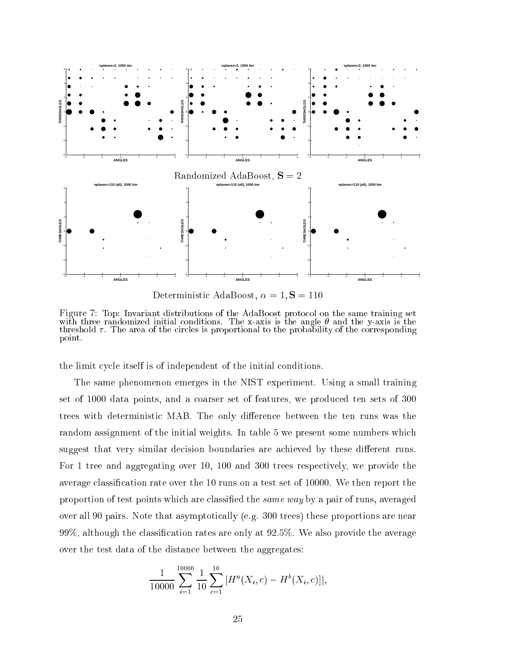

Deterministic AdaBoost,  $\alpha = 1$ ,  $S = 110$ 

Figure 7: Top: Invariant distributions of the AdaBoost proto
ol on the same training set with the communications. The x-axis is the angle  $\alpha$  and the  $\alpha$  and  $\alpha$  and  $\alpha$  and the  $\alpha$ threshold  $\tau$ . The area of the circles is proportional to the probability of the corresponding point.

the limit cycle itself is of independent of the initial conditions.

The same phenomenon emerges in the NIST experiment. Using a small training set of 1000 data points, and a oarser set of features, we produ
ed ten sets of 300 trees with deterministic MAB. The only difference between the ten runs was the random assignment of the initial weights. In table 5 we present some numbers whi
h suggest that very similar decision boundaries are achieved by these different runs. For 1 tree and aggregating over 10, 100 and 300 trees respectively, we provide the average classification rate over the 10 runs on a test set of 10000. We then report the proportion of test points whi
h are lassied the same way by a pair of runs, averaged over all 90 pairs. Note that asymptoti
ally (e.g. 300 trees) these proportions are near 99%, although the classification rates are only at 92.5%. We also provide the average over the test data of the distan
e between the aggregates:

$$
\frac{1}{10000} \sum_{i=1}^{10000} \frac{1}{10} \sum_{c=1}^{10} |H^a(X_i, c) - H^b(X_i, c)|,
$$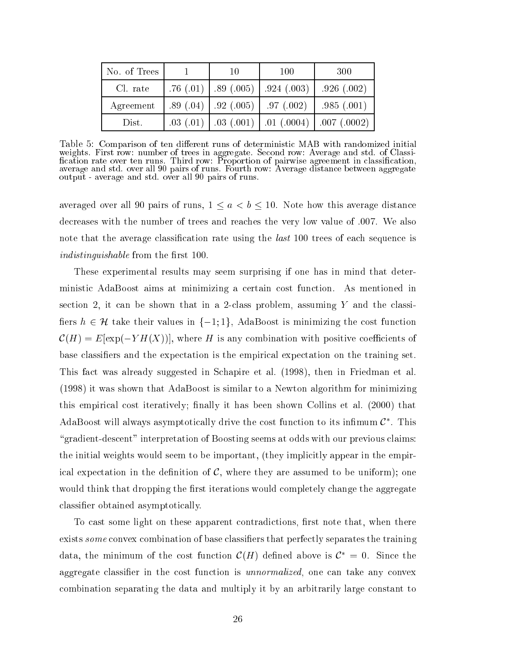| No. of Trees | 10                         | 100        | - 300                                                                |  |
|--------------|----------------------------|------------|----------------------------------------------------------------------|--|
| Cl. rate     | .76 $(.01)$   .89 $(.005)$ | .924(.003) | .926(.002)                                                           |  |
| Agreement    | $.89(.04)$   $.92(.005)$   | .97(.002)  | .985(.001)                                                           |  |
| Dist.        |                            |            | $.03$ (.01) $\mid$ .03 (.001) $\mid$ .01 (.0004) $\mid$ .007 (.0002) |  |

Table 5: Comparison of ten different runs of deterministic MAB with randomized initial weights. First row: number of trees in a gregate. See aggregate. See also respect to  $\mathbf{A}$ 
ation rate over ten runs. Third row: Proportion of pairwise agreement in lassi
ation, average and std. over all 90 pairs of runs. Fourth row: Average distan
e between aggregate output - average and std. over all 90 pairs of runs.

averaged over all 90 pairs of runs,  $1 \le a < b \le 10$ . Note how this average distance decreases with the number of trees and reaches the very low value of  $.007$ . We also note that the average classification rate using the *last* 100 trees of each sequence is *indistinguishable* from the first 100.

These experimental results may seem surprising if one has in mind that deterministi AdaBoost aims at minimizing a ertain ost fun
tion. As mentioned in section 2, it can be shown that in a 2-class problem, assuming Y and the classifiers  $h \in \mathcal{H}$  take their values in  $\{-1; 1\}$ , AdaBoost is minimizing the cost function  $\mathcal{C}(H) = E[\exp(-YH(X))],$  where H is any combination with positive coefficients of base lassiers and the expe
tation is the empiri
al expe
tation on the training set. This fa
t was already suggested in S
hapire et al. (1998), then in Friedman et al. (1998) it was shown that AdaBoost is similar to a Newton algorithm for minimizing this empirical cost iteratively; finally it has been shown Collins et al. (2000) that Adaboost will always asymptotically drive the cost function to its infimum  $\epsilon$  . This "gradient-descent" interpretation of Boosting seems at odds with our previous claims: the initial weights would seem to be important, (they implicitly appear in the empirical expectation in the definition of  $\mathcal{C}$ , where they are assumed to be uniform); one would think that dropping the first iterations would completely change the aggregate lassier obtained asymptoti
ally.

To cast some light on these apparent contradictions, first note that, when there exists *some* convex combination of base classifiers that perfectly separates the training data, the minimum of the cost function  $\mathcal{C}(H)$  defined above is  $\mathcal{C}^* = 0$ . Since the aggregate classifier in the cost function is *unnormalized*, one can take any convex ombination separating the data and multiply it by an arbitrarily large onstant to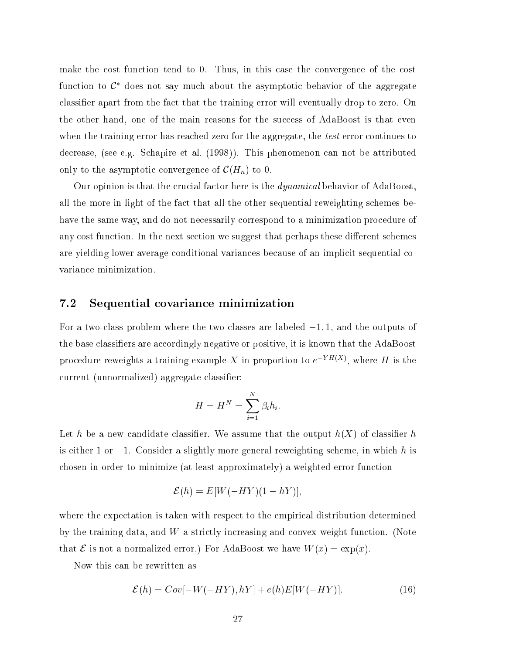make the cost function tend to 0. Thus, in this case the convergence of the cost fun
tion to <sup>C</sup> does not say mu
h about the asymptoti behavior of the aggregate lassier apart from the fa
t that the training error will eventually drop to zero. On the other hand, one of the main reasons for the success of AdaBoost is that even when the training error has reached zero for the aggregate, the *test* error continues to de
rease, (see e.g. S
hapire et al. (1998)). This phenomenon an not be attributed only to the asymptotic convergence of  $\mathcal{C}(H_n)$  to 0.

Our opinion is that the crucial factor here is the *dynamical* behavior of AdaBoost, all the more in light of the fact that all the other sequential reweighting schemes behave the same way, and do not necessarily correspond to a minimization procedure of any cost function. In the next section we suggest that perhaps these different schemes are yielding lower average conditional variances because of an implicit sequential covarian
e minimization.

### 7.2 Sequential ovarian
e minimization

For a two-class problem where the two classes are labeled  $-1$ , 1, and the outputs of the base classifiers are accordingly negative or positive, it is known that the AdaBoost procedure reweights a training example  $\Lambda$  in proportion to  $e^{-\frac{1}{2}+\frac{1}{2}+\frac{1}{2}}$ , where  $\pi$  is the urrent (unnormalized) aggregate lassier:

$$
H = H^N = \sum_{i=1}^N \beta_i h_i.
$$

Let h be a new candidate classifier. We assume that the output  $h(X)$  of classifier h is either 1 or  $-1$ . Consider a slightly more general reweighting scheme, in which h is chosen in order to minimize (at least approximately) a weighted error function

$$
\mathcal{E}(h) = E[W(-HY)(1-hY)],
$$

where the expectation is taken with respect to the empirical distribution determined by the training data, and  $W$  a strictly increasing and convex weight function. (Note that  $\mathcal E$  is not a normalized error.) For AdaBoost we have  $W(x) = \exp(x)$ .

Now this an be rewritten as

$$
\mathcal{E}(h) = Cov[-W(-HY), hY] + e(h)E[W(-HY)].
$$
\n(16)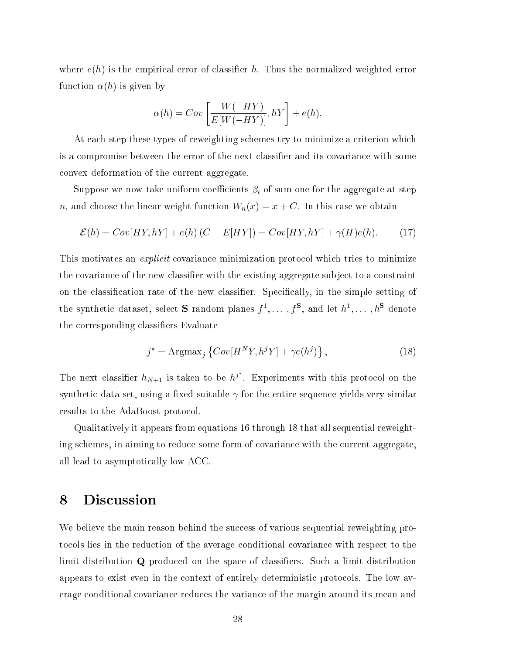where  $e(h)$  is the empirical error of classifier h. Thus the normalized weighted error function  $\alpha(h)$  is given by

$$
\alpha(h) = Cov\left[\frac{-W(-HY)}{E[W(-HY)]}, hY\right] + e(h).
$$

At each step these types of reweighting schemes try to minimize a criterion which is a compromise between the error of the next classifier and its covariance with some onvex deformation of the urrent aggregate.

Suppose we now take uniform coefficients  $\beta_i$  of sum one for the aggregate at step *n*, and choose the linear weight function  $W_n(x) = x + C$ . In this case we obtain

$$
\mathcal{E}(h) = Cov[HY, hY] + e(h) (C - E[HY]) = Cov[HY, hY] + \gamma(H)e(h). \tag{17}
$$

This motivates an *explicit* covariance minimization protocol which tries to minimize the covariance of the new classifier with the existing aggregate subject to a constraint on the classification rate of the new classifier. Specifically, in the simple setting of the synthetic dataset, select  $\mathbf S$  random planes  $f^*,\ldots,f^*,$  and let  $h^*,\ldots,h^*$  denote the orresponding lassiers Evaluate

$$
j^* = \text{Argmax}_j \left\{Cov[H^N Y, h^j Y] + \gamma e(h^j) \right\},\tag{18}
$$

The next classifier  $h_{N+1}$  is taken to be  $h^j$ . Experiments with this protocol on the synthetic data set, using a fixed suitable  $\gamma$  for the entire sequence yields very similar results to the AdaBoost proto
ol.

Qualitatively it appears from equations 16 through 18 that all sequential reweighting schemes, in aiming to reduce some form of covariance with the current aggregate, all lead to asymptoti
ally low ACC.

## 8 Dis
ussion

We believe the main reason behind the success of various sequential reweighting proto cols lies in the reduction of the average conditional covariance with respect to the limit distribution Q produced on the space of classifiers. Such a limit distribution appears to exist even in the context of entirely deterministic protocols. The low average onditional ovarian
e redu
es the varian
e of the margin around its mean and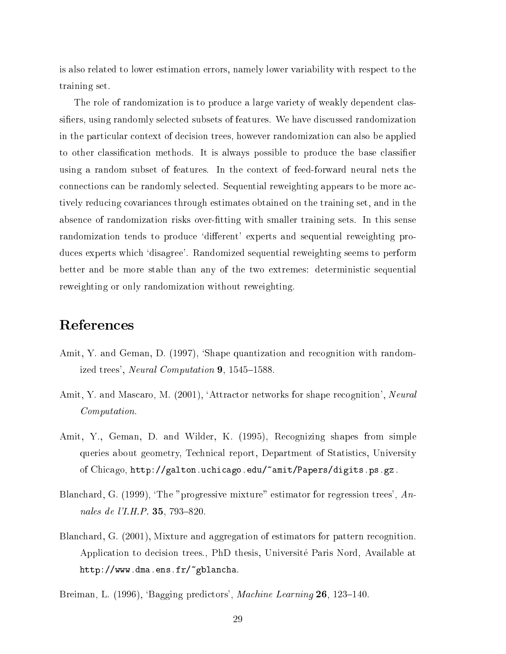is also related to lower estimation errors, namely lower variability with respe
t to the training set.

The role of randomization is to produce a large variety of weakly dependent classifiers, using randomly selected subsets of features. We have discussed randomization in the particular context of decision trees, however randomization can also be applied to other classification methods. It is always possible to produce the base classifier using a random subset of features. In the ontext of feed-forward neural nets the onne
tions an be randomly sele
ted. Sequential reweighting appears to be more a
 tively redu
ing ovarian
es through estimates obtained on the training set, and in the absence of randomization risks over-fitting with smaller training sets. In this sense randomization tends to produce 'different' experts and sequential reweighting produces experts which 'disagree'. Randomized sequential reweighting seems to perform better and be more stable than any of the two extremes: deterministic sequential reweighting or only randomization without reweighting.

## **References**

- Amit, Y. and Geman, D. (1997), 'Shape quantization and recognition with randomized trees', Neural Computation  $9, 1545-1588$ .
- Amit, Y. and Mascaro, M. (2001), 'Attractor networks for shape recognition', Neural Computation.
- Amit, Y., Geman, D. and Wilder, K. (1995), Re
ognizing shapes from simple queries about geometry, Te
hni
al report, Department of Statisti
s, University of Chicago, http://galton.uchicago.edu/~amit/Papers/digits.ps.gz.
- Blanchard, G. (1999), 'The "progressive mixture" estimator for regression trees', Annales de l'I.H.P. 35, 793-820.
- Blanchard, G. (2001), Mixture and aggregation of estimators for pattern recognition. Application to decision trees., PhD thesis, Université Paris Nord, Available at http://www.dma.ens.fr/~gblan
ha.

Breiman, L. (1996), 'Bagging predictors', Machine Learning 26, 123–140.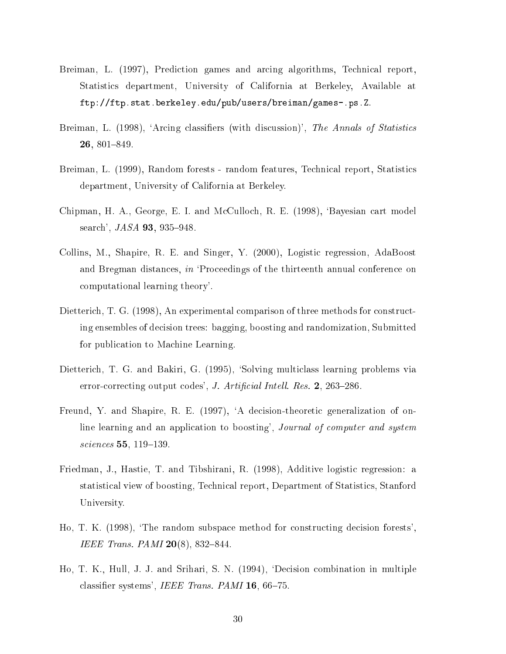- Breiman, L. (1997), Prediction games and arcing algorithms, Technical report, Statisti
s department, University of California at Berkeley, Available at ftp://ftp.stat.berkeley.edu/pub/users/breiman/games-.ps.Z.
- Breiman, L. (1998), 'Arcing classifiers (with discussion)', The Annals of Statistics  $26, 801 - 849.$
- Breiman, L. (1999), Random forests random features, Technical report, Statistics department, University of California at Berkeley.
- Chipman, H. A., George, E. I. and McCulloch, R. E. (1998), 'Bayesian cart model search', *JASA* 93, 935-948.
- Collins, M., Shapire, R. E. and Singer, Y. (2000), Logisti regression, AdaBoost and Bregman distances, in 'Proceedings of the thirteenth annual conference on omputational learning theory'.
- Dietterich, T. G. (1998), An experimental comparison of three methods for constructing ensembles of de
ision trees: bagging, boosting and randomization, Submitted for publication to Machine Learning.
- Dietterich, T. G. and Bakiri, G. (1995), 'Solving multiclass learning problems via error-correcting output codes', *J. Artificial Intell. Res.* 2, 263-286.
- Freund, Y. and Shapire, R. E. (1997), 'A decision-theoretic generalization of online learning and an application to boosting', Journal of computer and system sciences **55**, 119-139.
- Friedman, J., Hastie, T. and Tibshirani, R. (1998), Additive logistic regression: a statisti
al view of boosting, Te
hni
al report, Department of Statisti
s, Stanford University.
- Ho, T. K. (1998), 'The random subspace method for constructing decision forests', IEEE Trans. PAMI  $20(8)$ , 832-844.
- Ho, T. K., Hull, J. J. and Srihari, S. N. (1994), `De
ision ombination in multiple classifier systems', IEEE Trans. PAMI  $16, 66-75$ .